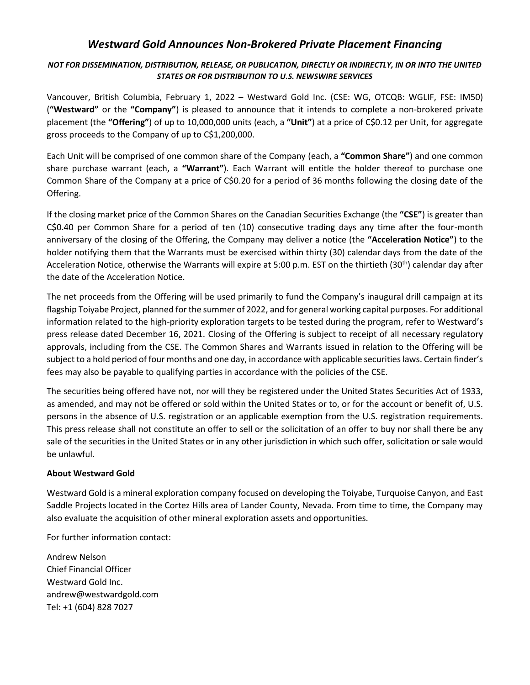## *Westward Gold Announces Non-Brokered Private Placement Financing*

## *NOT FOR DISSEMINATION, DISTRIBUTION, RELEASE, OR PUBLICATION, DIRECTLY OR INDIRECTLY, IN OR INTO THE UNITED STATES OR FOR DISTRIBUTION TO U.S. NEWSWIRE SERVICES*

Vancouver, British Columbia, February 1, 2022 – Westward Gold Inc. (CSE: WG, OTCQB: WGLIF, FSE: IM50) (**"Westward"** or the **"Company"**) is pleased to announce that it intends to complete a non-brokered private placement (the **"Offering"**) of up to 10,000,000 units (each, a **"Unit"**) at a price of C\$0.12 per Unit, for aggregate gross proceeds to the Company of up to C\$1,200,000.

Each Unit will be comprised of one common share of the Company (each, a **"Common Share"**) and one common share purchase warrant (each, a **"Warrant"**). Each Warrant will entitle the holder thereof to purchase one Common Share of the Company at a price of C\$0.20 for a period of 36 months following the closing date of the Offering.

If the closing market price of the Common Shares on the Canadian Securities Exchange (the **"CSE"**) is greater than C\$0.40 per Common Share for a period of ten (10) consecutive trading days any time after the four-month anniversary of the closing of the Offering, the Company may deliver a notice (the **"Acceleration Notice"**) to the holder notifying them that the Warrants must be exercised within thirty (30) calendar days from the date of the Acceleration Notice, otherwise the Warrants will expire at 5:00 p.m. EST on the thirtieth (30<sup>th</sup>) calendar day after the date of the Acceleration Notice.

The net proceeds from the Offering will be used primarily to fund the Company's inaugural drill campaign at its flagship Toiyabe Project, planned for the summer of 2022, and for general working capital purposes. For additional information related to the high-priority exploration targets to be tested during the program, refer to Westward's press release dated December 16, 2021. Closing of the Offering is subject to receipt of all necessary regulatory approvals, including from the CSE. The Common Shares and Warrants issued in relation to the Offering will be subject to a hold period of four months and one day, in accordance with applicable securities laws. Certain finder's fees may also be payable to qualifying parties in accordance with the policies of the CSE.

The securities being offered have not, nor will they be registered under the United States Securities Act of 1933, as amended, and may not be offered or sold within the United States or to, or for the account or benefit of, U.S. persons in the absence of U.S. registration or an applicable exemption from the U.S. registration requirements. This press release shall not constitute an offer to sell or the solicitation of an offer to buy nor shall there be any sale of the securities in the United States or in any other jurisdiction in which such offer, solicitation or sale would be unlawful.

## **About Westward Gold**

Westward Gold is a mineral exploration company focused on developing the Toiyabe, Turquoise Canyon, and East Saddle Projects located in the Cortez Hills area of Lander County, Nevada. From time to time, the Company may also evaluate the acquisition of other mineral exploration assets and opportunities.

For further information contact:

Andrew Nelson Chief Financial Officer Westward Gold Inc. andrew@westwardgold.com Tel: +1 (604) 828 7027